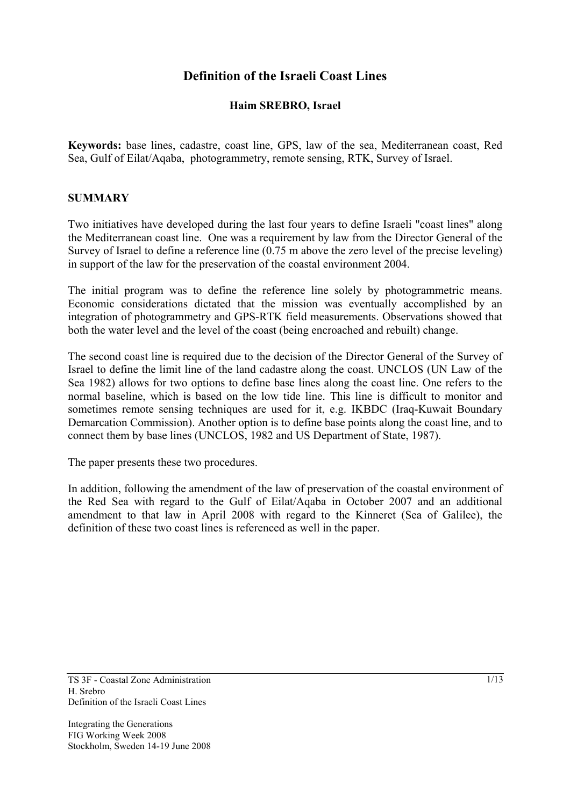# **Definition of the Israeli Coast Lines**

## **Haim SREBRO, Israel**

**Keywords:** base lines, cadastre, coast line, GPS, law of the sea, Mediterranean coast, Red Sea, Gulf of Eilat/Aqaba, photogrammetry, remote sensing, RTK, Survey of Israel.

#### **SUMMARY**

Two initiatives have developed during the last four years to define Israeli "coast lines" along the Mediterranean coast line. One was a requirement by law from the Director General of the Survey of Israel to define a reference line (0.75 m above the zero level of the precise leveling) in support of the law for the preservation of the coastal environment 2004.

The initial program was to define the reference line solely by photogrammetric means. Economic considerations dictated that the mission was eventually accomplished by an integration of photogrammetry and GPS-RTK field measurements. Observations showed that both the water level and the level of the coast (being encroached and rebuilt) change.

The second coast line is required due to the decision of the Director General of the Survey of Israel to define the limit line of the land cadastre along the coast. UNCLOS (UN Law of the Sea 1982) allows for two options to define base lines along the coast line. One refers to the normal baseline, which is based on the low tide line. This line is difficult to monitor and sometimes remote sensing techniques are used for it, e.g. IKBDC (Iraq-Kuwait Boundary Demarcation Commission). Another option is to define base points along the coast line, and to connect them by base lines (UNCLOS, 1982 and US Department of State, 1987).

The paper presents these two procedures.

In addition, following the amendment of the law of preservation of the coastal environment of the Red Sea with regard to the Gulf of Eilat/Aqaba in October 2007 and an additional amendment to that law in April 2008 with regard to the Kinneret (Sea of Galilee), the definition of these two coast lines is referenced as well in the paper.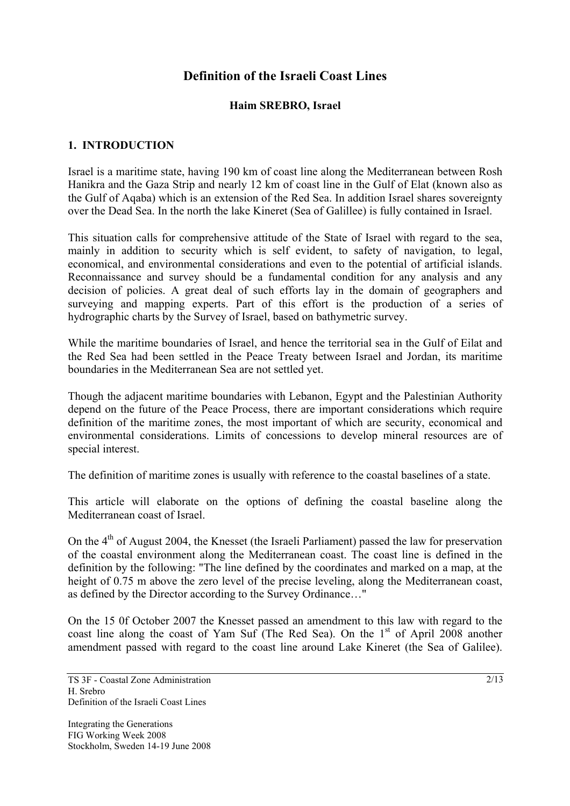# **Definition of the Israeli Coast Lines**

### **Haim SREBRO, Israel**

### **1. INTRODUCTION**

Israel is a maritime state, having 190 km of coast line along the Mediterranean between Rosh Hanikra and the Gaza Strip and nearly 12 km of coast line in the Gulf of Elat (known also as the Gulf of Aqaba) which is an extension of the Red Sea. In addition Israel shares sovereignty over the Dead Sea. In the north the lake Kineret (Sea of Galillee) is fully contained in Israel.

This situation calls for comprehensive attitude of the State of Israel with regard to the sea, mainly in addition to security which is self evident, to safety of navigation, to legal, economical, and environmental considerations and even to the potential of artificial islands. Reconnaissance and survey should be a fundamental condition for any analysis and any decision of policies. A great deal of such efforts lay in the domain of geographers and surveying and mapping experts. Part of this effort is the production of a series of hydrographic charts by the Survey of Israel, based on bathymetric survey.

While the maritime boundaries of Israel, and hence the territorial sea in the Gulf of Eilat and the Red Sea had been settled in the Peace Treaty between Israel and Jordan, its maritime boundaries in the Mediterranean Sea are not settled yet.

Though the adjacent maritime boundaries with Lebanon, Egypt and the Palestinian Authority depend on the future of the Peace Process, there are important considerations which require definition of the maritime zones, the most important of which are security, economical and environmental considerations. Limits of concessions to develop mineral resources are of special interest.

The definition of maritime zones is usually with reference to the coastal baselines of a state.

This article will elaborate on the options of defining the coastal baseline along the Mediterranean coast of Israel.

On the  $4<sup>th</sup>$  of August 2004, the Knesset (the Israeli Parliament) passed the law for preservation of the coastal environment along the Mediterranean coast. The coast line is defined in the definition by the following: "The line defined by the coordinates and marked on a map, at the height of 0.75 m above the zero level of the precise leveling, along the Mediterranean coast, as defined by the Director according to the Survey Ordinance…"

On the 15 0f October 2007 the Knesset passed an amendment to this law with regard to the coast line along the coast of Yam Suf (The Red Sea). On the  $1<sup>st</sup>$  of April 2008 another amendment passed with regard to the coast line around Lake Kineret (the Sea of Galilee).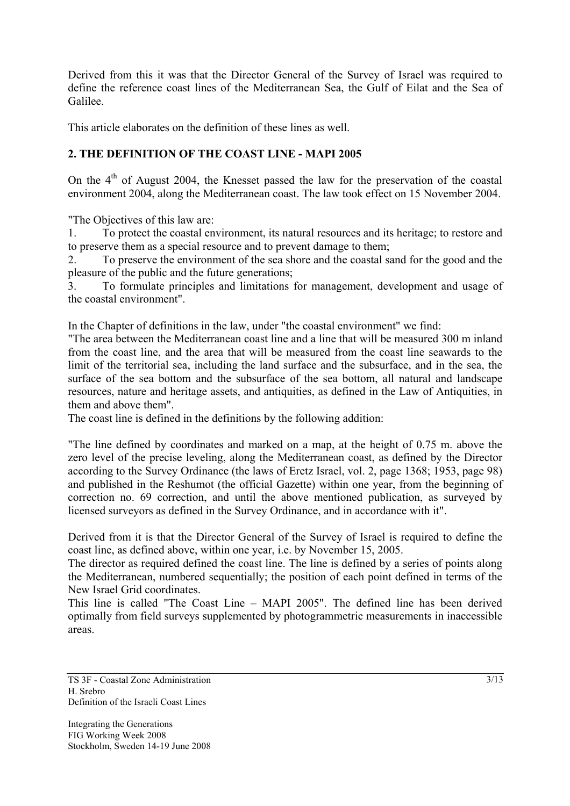Derived from this it was that the Director General of the Survey of Israel was required to define the reference coast lines of the Mediterranean Sea, the Gulf of Eilat and the Sea of Galilee.

This article elaborates on the definition of these lines as well.

## **2. THE DEFINITION OF THE COAST LINE - MAPI 2005**

On the  $4<sup>th</sup>$  of August 2004, the Knesset passed the law for the preservation of the coastal environment 2004, along the Mediterranean coast. The law took effect on 15 November 2004.

"The Objectives of this law are:

1. To protect the coastal environment, its natural resources and its heritage; to restore and to preserve them as a special resource and to prevent damage to them;

2. To preserve the environment of the sea shore and the coastal sand for the good and the pleasure of the public and the future generations;

3. To formulate principles and limitations for management, development and usage of the coastal environment".

In the Chapter of definitions in the law, under "the coastal environment" we find:

"The area between the Mediterranean coast line and a line that will be measured 300 m inland from the coast line, and the area that will be measured from the coast line seawards to the limit of the territorial sea, including the land surface and the subsurface, and in the sea, the surface of the sea bottom and the subsurface of the sea bottom, all natural and landscape resources, nature and heritage assets, and antiquities, as defined in the Law of Antiquities, in them and above them".

The coast line is defined in the definitions by the following addition:

"The line defined by coordinates and marked on a map, at the height of 0.75 m. above the zero level of the precise leveling, along the Mediterranean coast, as defined by the Director according to the Survey Ordinance (the laws of Eretz Israel, vol. 2, page 1368; 1953, page 98) and published in the Reshumot (the official Gazette) within one year, from the beginning of correction no. 69 correction, and until the above mentioned publication, as surveyed by licensed surveyors as defined in the Survey Ordinance, and in accordance with it".

Derived from it is that the Director General of the Survey of Israel is required to define the coast line, as defined above, within one year, i.e. by November 15, 2005.

The director as required defined the coast line. The line is defined by a series of points along the Mediterranean, numbered sequentially; the position of each point defined in terms of the New Israel Grid coordinates.

This line is called "The Coast Line – MAPI 2005". The defined line has been derived optimally from field surveys supplemented by photogrammetric measurements in inaccessible areas.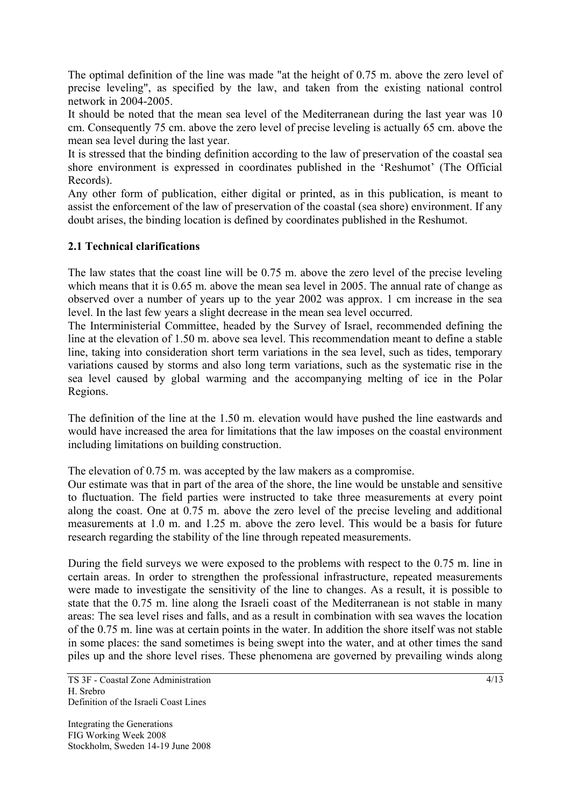The optimal definition of the line was made "at the height of 0.75 m. above the zero level of precise leveling", as specified by the law, and taken from the existing national control network in 2004-2005.

It should be noted that the mean sea level of the Mediterranean during the last year was 10 cm. Consequently 75 cm. above the zero level of precise leveling is actually 65 cm. above the mean sea level during the last year.

It is stressed that the binding definition according to the law of preservation of the coastal sea shore environment is expressed in coordinates published in the 'Reshumot' (The Official Records).

Any other form of publication, either digital or printed, as in this publication, is meant to assist the enforcement of the law of preservation of the coastal (sea shore) environment. If any doubt arises, the binding location is defined by coordinates published in the Reshumot.

## **2.1 Technical clarifications**

The law states that the coast line will be 0.75 m. above the zero level of the precise leveling which means that it is  $0.65$  m. above the mean sea level in 2005. The annual rate of change as observed over a number of years up to the year 2002 was approx. 1 cm increase in the sea level. In the last few years a slight decrease in the mean sea level occurred.

The Interministerial Committee, headed by the Survey of Israel, recommended defining the line at the elevation of 1.50 m. above sea level. This recommendation meant to define a stable line, taking into consideration short term variations in the sea level, such as tides, temporary variations caused by storms and also long term variations, such as the systematic rise in the sea level caused by global warming and the accompanying melting of ice in the Polar Regions.

The definition of the line at the 1.50 m. elevation would have pushed the line eastwards and would have increased the area for limitations that the law imposes on the coastal environment including limitations on building construction.

The elevation of 0.75 m. was accepted by the law makers as a compromise.

Our estimate was that in part of the area of the shore, the line would be unstable and sensitive to fluctuation. The field parties were instructed to take three measurements at every point along the coast. One at 0.75 m. above the zero level of the precise leveling and additional measurements at 1.0 m. and 1.25 m. above the zero level. This would be a basis for future research regarding the stability of the line through repeated measurements.

During the field surveys we were exposed to the problems with respect to the 0.75 m. line in certain areas. In order to strengthen the professional infrastructure, repeated measurements were made to investigate the sensitivity of the line to changes. As a result, it is possible to state that the 0.75 m. line along the Israeli coast of the Mediterranean is not stable in many areas: The sea level rises and falls, and as a result in combination with sea waves the location of the 0.75 m. line was at certain points in the water. In addition the shore itself was not stable in some places: the sand sometimes is being swept into the water, and at other times the sand piles up and the shore level rises. These phenomena are governed by prevailing winds along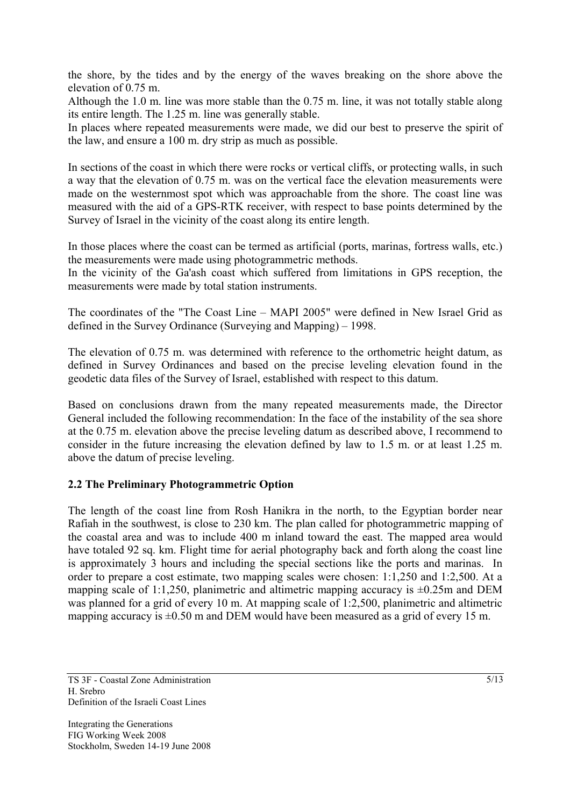the shore, by the tides and by the energy of the waves breaking on the shore above the elevation of 0.75 m.

Although the 1.0 m. line was more stable than the 0.75 m. line, it was not totally stable along its entire length. The 1.25 m. line was generally stable.

In places where repeated measurements were made, we did our best to preserve the spirit of the law, and ensure a 100 m. dry strip as much as possible.

In sections of the coast in which there were rocks or vertical cliffs, or protecting walls, in such a way that the elevation of 0.75 m. was on the vertical face the elevation measurements were made on the westernmost spot which was approachable from the shore. The coast line was measured with the aid of a GPS-RTK receiver, with respect to base points determined by the Survey of Israel in the vicinity of the coast along its entire length.

In those places where the coast can be termed as artificial (ports, marinas, fortress walls, etc.) the measurements were made using photogrammetric methods.

In the vicinity of the Ga'ash coast which suffered from limitations in GPS reception, the measurements were made by total station instruments.

The coordinates of the "The Coast Line – MAPI 2005" were defined in New Israel Grid as defined in the Survey Ordinance (Surveying and Mapping) – 1998.

The elevation of 0.75 m. was determined with reference to the orthometric height datum, as defined in Survey Ordinances and based on the precise leveling elevation found in the geodetic data files of the Survey of Israel, established with respect to this datum.

Based on conclusions drawn from the many repeated measurements made, the Director General included the following recommendation: In the face of the instability of the sea shore at the 0.75 m. elevation above the precise leveling datum as described above, I recommend to consider in the future increasing the elevation defined by law to 1.5 m. or at least 1.25 m. above the datum of precise leveling.

#### **2.2 The Preliminary Photogrammetric Option**

The length of the coast line from Rosh Hanikra in the north, to the Egyptian border near Rafiah in the southwest, is close to 230 km. The plan called for photogrammetric mapping of the coastal area and was to include 400 m inland toward the east. The mapped area would have totaled 92 sq. km. Flight time for aerial photography back and forth along the coast line is approximately 3 hours and including the special sections like the ports and marinas. In order to prepare a cost estimate, two mapping scales were chosen: 1:1,250 and 1:2,500. At a mapping scale of 1:1,250, planimetric and altimetric mapping accuracy is  $\pm 0.25$ m and DEM was planned for a grid of every 10 m. At mapping scale of 1:2,500, planimetric and altimetric mapping accuracy is  $\pm 0.50$  m and DEM would have been measured as a grid of every 15 m.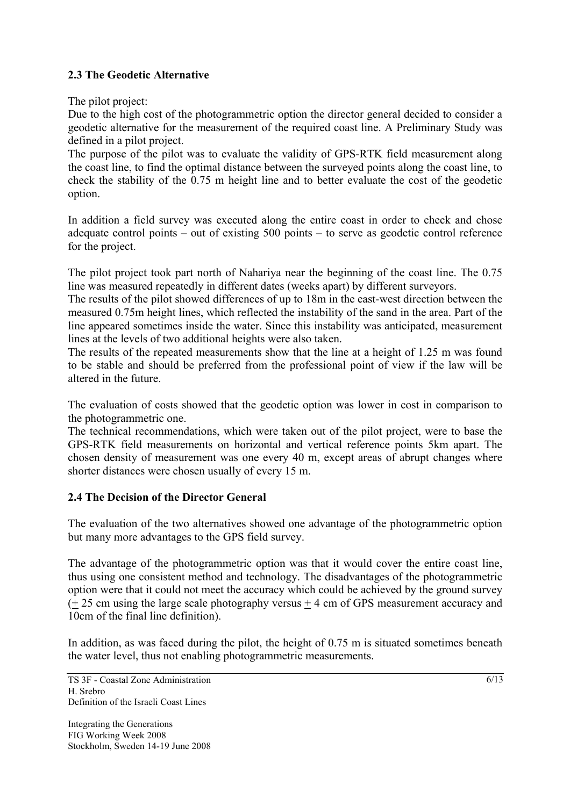## **2.3 The Geodetic Alternative**

The pilot project:

Due to the high cost of the photogrammetric option the director general decided to consider a geodetic alternative for the measurement of the required coast line. A Preliminary Study was defined in a pilot project.

The purpose of the pilot was to evaluate the validity of GPS-RTK field measurement along the coast line, to find the optimal distance between the surveyed points along the coast line, to check the stability of the 0.75 m height line and to better evaluate the cost of the geodetic option.

In addition a field survey was executed along the entire coast in order to check and chose adequate control points – out of existing 500 points – to serve as geodetic control reference for the project.

The pilot project took part north of Nahariya near the beginning of the coast line. The 0.75 line was measured repeatedly in different dates (weeks apart) by different surveyors.

The results of the pilot showed differences of up to 18m in the east-west direction between the measured 0.75m height lines, which reflected the instability of the sand in the area. Part of the line appeared sometimes inside the water. Since this instability was anticipated, measurement lines at the levels of two additional heights were also taken.

The results of the repeated measurements show that the line at a height of 1.25 m was found to be stable and should be preferred from the professional point of view if the law will be altered in the future.

The evaluation of costs showed that the geodetic option was lower in cost in comparison to the photogrammetric one.

The technical recommendations, which were taken out of the pilot project, were to base the GPS-RTK field measurements on horizontal and vertical reference points 5km apart. The chosen density of measurement was one every 40 m, except areas of abrupt changes where shorter distances were chosen usually of every 15 m.

#### **2.4 The Decision of the Director General**

The evaluation of the two alternatives showed one advantage of the photogrammetric option but many more advantages to the GPS field survey.

The advantage of the photogrammetric option was that it would cover the entire coast line, thus using one consistent method and technology. The disadvantages of the photogrammetric option were that it could not meet the accuracy which could be achieved by the ground survey (+ 25 cm using the large scale photography versus + 4 cm of GPS measurement accuracy and 10cm of the final line definition).

In addition, as was faced during the pilot, the height of 0.75 m is situated sometimes beneath the water level, thus not enabling photogrammetric measurements.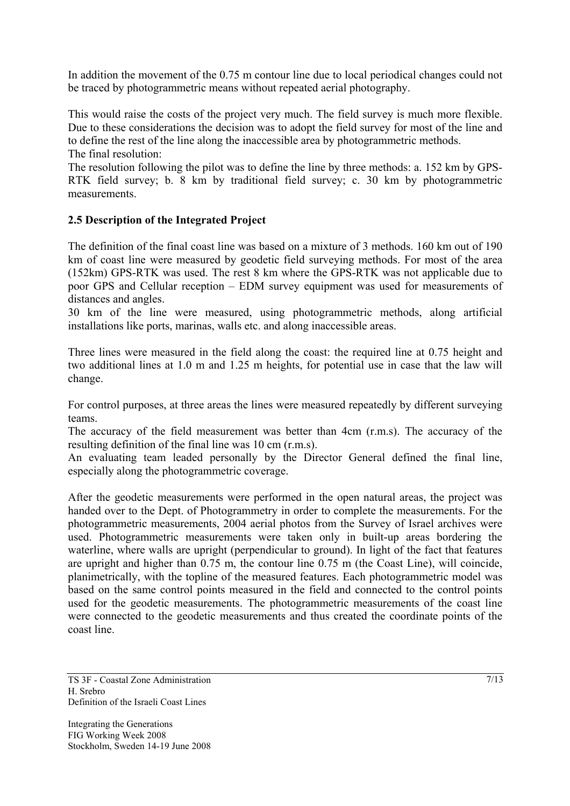In addition the movement of the 0.75 m contour line due to local periodical changes could not be traced by photogrammetric means without repeated aerial photography.

This would raise the costs of the project very much. The field survey is much more flexible. Due to these considerations the decision was to adopt the field survey for most of the line and to define the rest of the line along the inaccessible area by photogrammetric methods. The final resolution:

The resolution following the pilot was to define the line by three methods: a. 152 km by GPS-RTK field survey; b. 8 km by traditional field survey; c. 30 km by photogrammetric measurements.

## **2.5 Description of the Integrated Project**

The definition of the final coast line was based on a mixture of 3 methods. 160 km out of 190 km of coast line were measured by geodetic field surveying methods. For most of the area (152km) GPS-RTK was used. The rest 8 km where the GPS-RTK was not applicable due to poor GPS and Cellular reception – EDM survey equipment was used for measurements of distances and angles.

30 km of the line were measured, using photogrammetric methods, along artificial installations like ports, marinas, walls etc. and along inaccessible areas.

Three lines were measured in the field along the coast: the required line at 0.75 height and two additional lines at 1.0 m and 1.25 m heights, for potential use in case that the law will change.

For control purposes, at three areas the lines were measured repeatedly by different surveying teams.

The accuracy of the field measurement was better than 4cm (r.m.s). The accuracy of the resulting definition of the final line was 10 cm (r.m.s).

An evaluating team leaded personally by the Director General defined the final line, especially along the photogrammetric coverage.

After the geodetic measurements were performed in the open natural areas, the project was handed over to the Dept. of Photogrammetry in order to complete the measurements. For the photogrammetric measurements, 2004 aerial photos from the Survey of Israel archives were used. Photogrammetric measurements were taken only in built-up areas bordering the waterline, where walls are upright (perpendicular to ground). In light of the fact that features are upright and higher than 0.75 m, the contour line 0.75 m (the Coast Line), will coincide, planimetrically, with the topline of the measured features. Each photogrammetric model was based on the same control points measured in the field and connected to the control points used for the geodetic measurements. The photogrammetric measurements of the coast line were connected to the geodetic measurements and thus created the coordinate points of the coast line.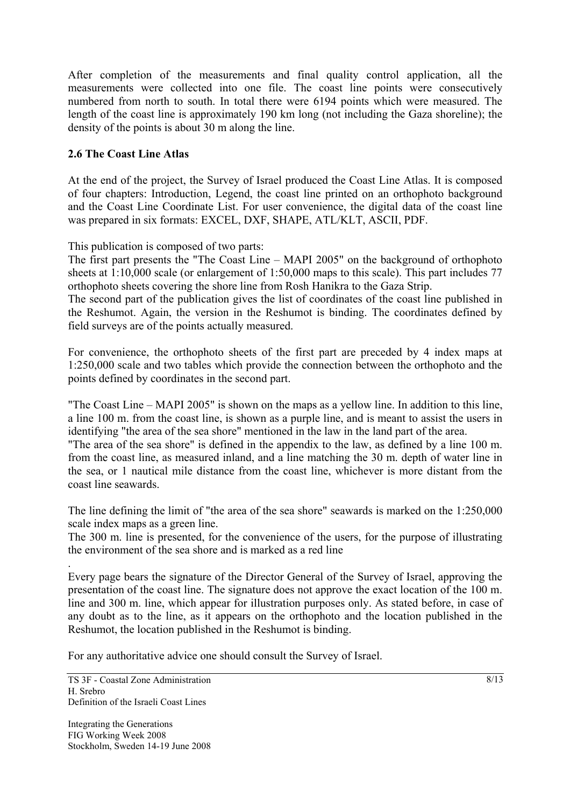After completion of the measurements and final quality control application, all the measurements were collected into one file. The coast line points were consecutively numbered from north to south. In total there were 6194 points which were measured. The length of the coast line is approximately 190 km long (not including the Gaza shoreline); the density of the points is about 30 m along the line.

## **2.6 The Coast Line Atlas**

At the end of the project, the Survey of Israel produced the Coast Line Atlas. It is composed of four chapters: Introduction, Legend, the coast line printed on an orthophoto background and the Coast Line Coordinate List. For user convenience, the digital data of the coast line was prepared in six formats: EXCEL, DXF, SHAPE, ATL/KLT, ASCII, PDF.

This publication is composed of two parts:

The first part presents the "The Coast Line – MAPI 2005" on the background of orthophoto sheets at 1:10,000 scale (or enlargement of 1:50,000 maps to this scale). This part includes 77 orthophoto sheets covering the shore line from Rosh Hanikra to the Gaza Strip.

The second part of the publication gives the list of coordinates of the coast line published in the Reshumot. Again, the version in the Reshumot is binding. The coordinates defined by field surveys are of the points actually measured.

For convenience, the orthophoto sheets of the first part are preceded by 4 index maps at 1:250,000 scale and two tables which provide the connection between the orthophoto and the points defined by coordinates in the second part.

"The Coast Line – MAPI 2005" is shown on the maps as a yellow line. In addition to this line, a line 100 m. from the coast line, is shown as a purple line, and is meant to assist the users in identifying "the area of the sea shore" mentioned in the law in the land part of the area.

"The area of the sea shore" is defined in the appendix to the law, as defined by a line 100 m. from the coast line, as measured inland, and a line matching the 30 m. depth of water line in the sea, or 1 nautical mile distance from the coast line, whichever is more distant from the coast line seawards.

The line defining the limit of "the area of the sea shore" seawards is marked on the 1:250,000 scale index maps as a green line.

The 300 m. line is presented, for the convenience of the users, for the purpose of illustrating the environment of the sea shore and is marked as a red line

Every page bears the signature of the Director General of the Survey of Israel, approving the presentation of the coast line. The signature does not approve the exact location of the 100 m. line and 300 m. line, which appear for illustration purposes only. As stated before, in case of any doubt as to the line, as it appears on the orthophoto and the location published in the Reshumot, the location published in the Reshumot is binding.

For any authoritative advice one should consult the Survey of Israel.

.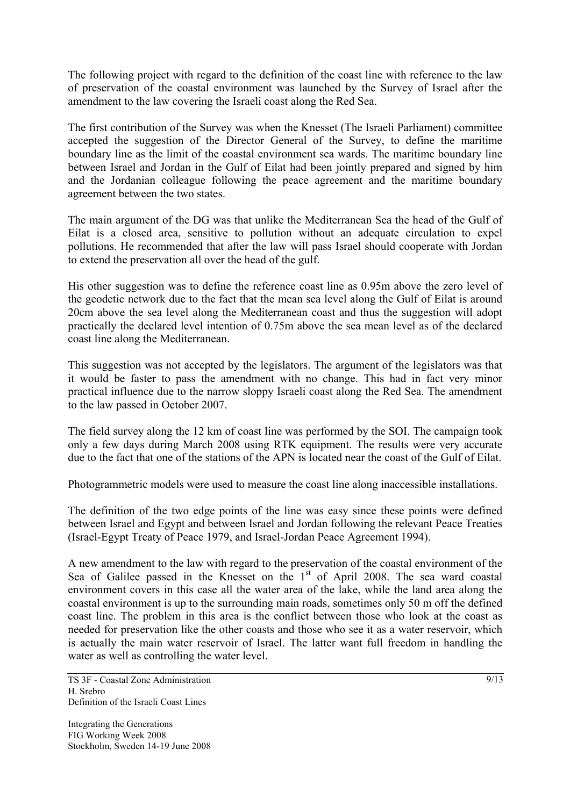The following project with regard to the definition of the coast line with reference to the law of preservation of the coastal environment was launched by the Survey of Israel after the amendment to the law covering the Israeli coast along the Red Sea.

The first contribution of the Survey was when the Knesset (The Israeli Parliament) committee accepted the suggestion of the Director General of the Survey, to define the maritime boundary line as the limit of the coastal environment sea wards. The maritime boundary line between Israel and Jordan in the Gulf of Eilat had been jointly prepared and signed by him and the Jordanian colleague following the peace agreement and the maritime boundary agreement between the two states.

The main argument of the DG was that unlike the Mediterranean Sea the head of the Gulf of Eilat is a closed area, sensitive to pollution without an adequate circulation to expel pollutions. He recommended that after the law will pass Israel should cooperate with Jordan to extend the preservation all over the head of the gulf.

His other suggestion was to define the reference coast line as 0.95m above the zero level of the geodetic network due to the fact that the mean sea level along the Gulf of Eilat is around 20cm above the sea level along the Mediterranean coast and thus the suggestion will adopt practically the declared level intention of 0.75m above the sea mean level as of the declared coast line along the Mediterranean.

This suggestion was not accepted by the legislators. The argument of the legislators was that it would be faster to pass the amendment with no change. This had in fact very minor practical influence due to the narrow sloppy Israeli coast along the Red Sea. The amendment to the law passed in October 2007.

The field survey along the 12 km of coast line was performed by the SOI. The campaign took only a few days during March 2008 using RTK equipment. The results were very accurate due to the fact that one of the stations of the APN is located near the coast of the Gulf of Eilat.

Photogrammetric models were used to measure the coast line along inaccessible installations.

The definition of the two edge points of the line was easy since these points were defined between Israel and Egypt and between Israel and Jordan following the relevant Peace Treaties (Israel-Egypt Treaty of Peace 1979, and Israel-Jordan Peace Agreement 1994).

A new amendment to the law with regard to the preservation of the coastal environment of the Sea of Galilee passed in the Knesset on the  $1<sup>st</sup>$  of April 2008. The sea ward coastal environment covers in this case all the water area of the lake, while the land area along the coastal environment is up to the surrounding main roads, sometimes only 50 m off the defined coast line. The problem in this area is the conflict between those who look at the coast as needed for preservation like the other coasts and those who see it as a water reservoir, which is actually the main water reservoir of Israel. The latter want full freedom in handling the water as well as controlling the water level.

TS 3F - Coastal Zone Administration H. Srebro Definition of the Israeli Coast Lines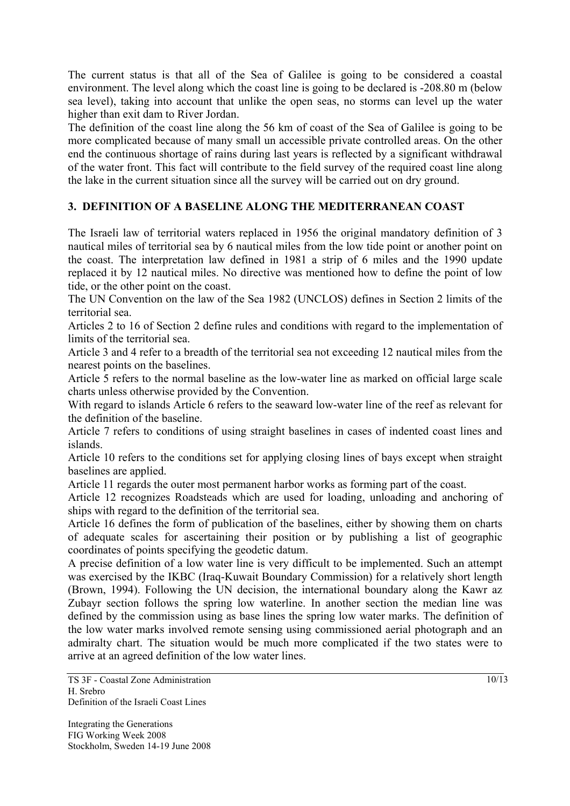The current status is that all of the Sea of Galilee is going to be considered a coastal environment. The level along which the coast line is going to be declared is -208.80 m (below sea level), taking into account that unlike the open seas, no storms can level up the water higher than exit dam to River Jordan.

The definition of the coast line along the 56 km of coast of the Sea of Galilee is going to be more complicated because of many small un accessible private controlled areas. On the other end the continuous shortage of rains during last years is reflected by a significant withdrawal of the water front. This fact will contribute to the field survey of the required coast line along the lake in the current situation since all the survey will be carried out on dry ground.

## **3. DEFINITION OF A BASELINE ALONG THE MEDITERRANEAN COAST**

The Israeli law of territorial waters replaced in 1956 the original mandatory definition of 3 nautical miles of territorial sea by 6 nautical miles from the low tide point or another point on the coast. The interpretation law defined in 1981 a strip of 6 miles and the 1990 update replaced it by 12 nautical miles. No directive was mentioned how to define the point of low tide, or the other point on the coast.

The UN Convention on the law of the Sea 1982 (UNCLOS) defines in Section 2 limits of the territorial sea.

Articles 2 to 16 of Section 2 define rules and conditions with regard to the implementation of limits of the territorial sea.

Article 3 and 4 refer to a breadth of the territorial sea not exceeding 12 nautical miles from the nearest points on the baselines.

Article 5 refers to the normal baseline as the low-water line as marked on official large scale charts unless otherwise provided by the Convention.

With regard to islands Article 6 refers to the seaward low-water line of the reef as relevant for the definition of the baseline.

Article 7 refers to conditions of using straight baselines in cases of indented coast lines and islands.

Article 10 refers to the conditions set for applying closing lines of bays except when straight baselines are applied.

Article 11 regards the outer most permanent harbor works as forming part of the coast.

Article 12 recognizes Roadsteads which are used for loading, unloading and anchoring of ships with regard to the definition of the territorial sea.

Article 16 defines the form of publication of the baselines, either by showing them on charts of adequate scales for ascertaining their position or by publishing a list of geographic coordinates of points specifying the geodetic datum.

A precise definition of a low water line is very difficult to be implemented. Such an attempt was exercised by the IKBC (Iraq-Kuwait Boundary Commission) for a relatively short length (Brown, 1994). Following the UN decision, the international boundary along the Kawr az Zubayr section follows the spring low waterline. In another section the median line was defined by the commission using as base lines the spring low water marks. The definition of the low water marks involved remote sensing using commissioned aerial photograph and an admiralty chart. The situation would be much more complicated if the two states were to arrive at an agreed definition of the low water lines.

TS 3F - Coastal Zone Administration H. Srebro Definition of the Israeli Coast Lines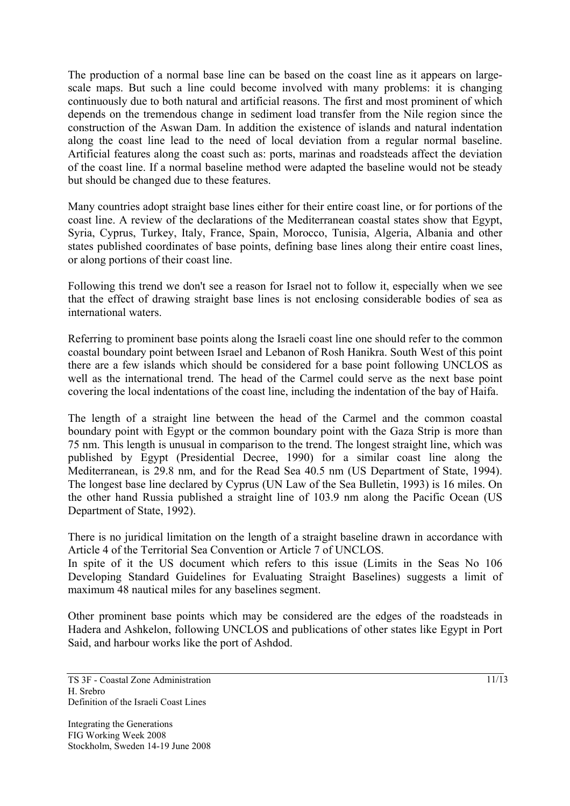The production of a normal base line can be based on the coast line as it appears on largescale maps. But such a line could become involved with many problems: it is changing continuously due to both natural and artificial reasons. The first and most prominent of which depends on the tremendous change in sediment load transfer from the Nile region since the construction of the Aswan Dam. In addition the existence of islands and natural indentation along the coast line lead to the need of local deviation from a regular normal baseline. Artificial features along the coast such as: ports, marinas and roadsteads affect the deviation of the coast line. If a normal baseline method were adapted the baseline would not be steady but should be changed due to these features.

Many countries adopt straight base lines either for their entire coast line, or for portions of the coast line. A review of the declarations of the Mediterranean coastal states show that Egypt, Syria, Cyprus, Turkey, Italy, France, Spain, Morocco, Tunisia, Algeria, Albania and other states published coordinates of base points, defining base lines along their entire coast lines, or along portions of their coast line.

Following this trend we don't see a reason for Israel not to follow it, especially when we see that the effect of drawing straight base lines is not enclosing considerable bodies of sea as international waters.

Referring to prominent base points along the Israeli coast line one should refer to the common coastal boundary point between Israel and Lebanon of Rosh Hanikra. South West of this point there are a few islands which should be considered for a base point following UNCLOS as well as the international trend. The head of the Carmel could serve as the next base point covering the local indentations of the coast line, including the indentation of the bay of Haifa.

The length of a straight line between the head of the Carmel and the common coastal boundary point with Egypt or the common boundary point with the Gaza Strip is more than 75 nm. This length is unusual in comparison to the trend. The longest straight line, which was published by Egypt (Presidential Decree, 1990) for a similar coast line along the Mediterranean, is 29.8 nm, and for the Read Sea 40.5 nm (US Department of State, 1994). The longest base line declared by Cyprus (UN Law of the Sea Bulletin, 1993) is 16 miles. On the other hand Russia published a straight line of 103.9 nm along the Pacific Ocean (US Department of State, 1992).

There is no juridical limitation on the length of a straight baseline drawn in accordance with Article 4 of the Territorial Sea Convention or Article 7 of UNCLOS.

In spite of it the US document which refers to this issue (Limits in the Seas No 106 Developing Standard Guidelines for Evaluating Straight Baselines) suggests a limit of maximum 48 nautical miles for any baselines segment.

Other prominent base points which may be considered are the edges of the roadsteads in Hadera and Ashkelon, following UNCLOS and publications of other states like Egypt in Port Said, and harbour works like the port of Ashdod.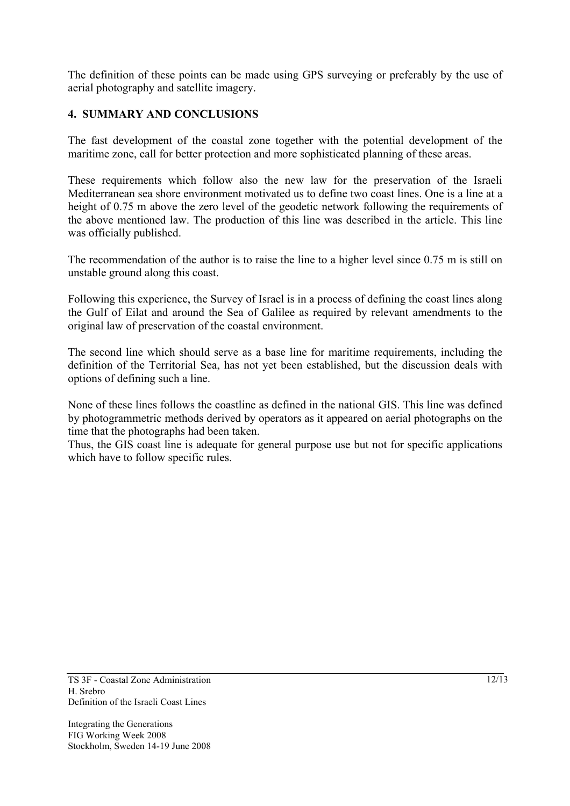The definition of these points can be made using GPS surveying or preferably by the use of aerial photography and satellite imagery.

## **4. SUMMARY AND CONCLUSIONS**

The fast development of the coastal zone together with the potential development of the maritime zone, call for better protection and more sophisticated planning of these areas.

These requirements which follow also the new law for the preservation of the Israeli Mediterranean sea shore environment motivated us to define two coast lines. One is a line at a height of 0.75 m above the zero level of the geodetic network following the requirements of the above mentioned law. The production of this line was described in the article. This line was officially published.

The recommendation of the author is to raise the line to a higher level since 0.75 m is still on unstable ground along this coast.

Following this experience, the Survey of Israel is in a process of defining the coast lines along the Gulf of Eilat and around the Sea of Galilee as required by relevant amendments to the original law of preservation of the coastal environment.

The second line which should serve as a base line for maritime requirements, including the definition of the Territorial Sea, has not yet been established, but the discussion deals with options of defining such a line.

None of these lines follows the coastline as defined in the national GIS. This line was defined by photogrammetric methods derived by operators as it appeared on aerial photographs on the time that the photographs had been taken.

Thus, the GIS coast line is adequate for general purpose use but not for specific applications which have to follow specific rules.